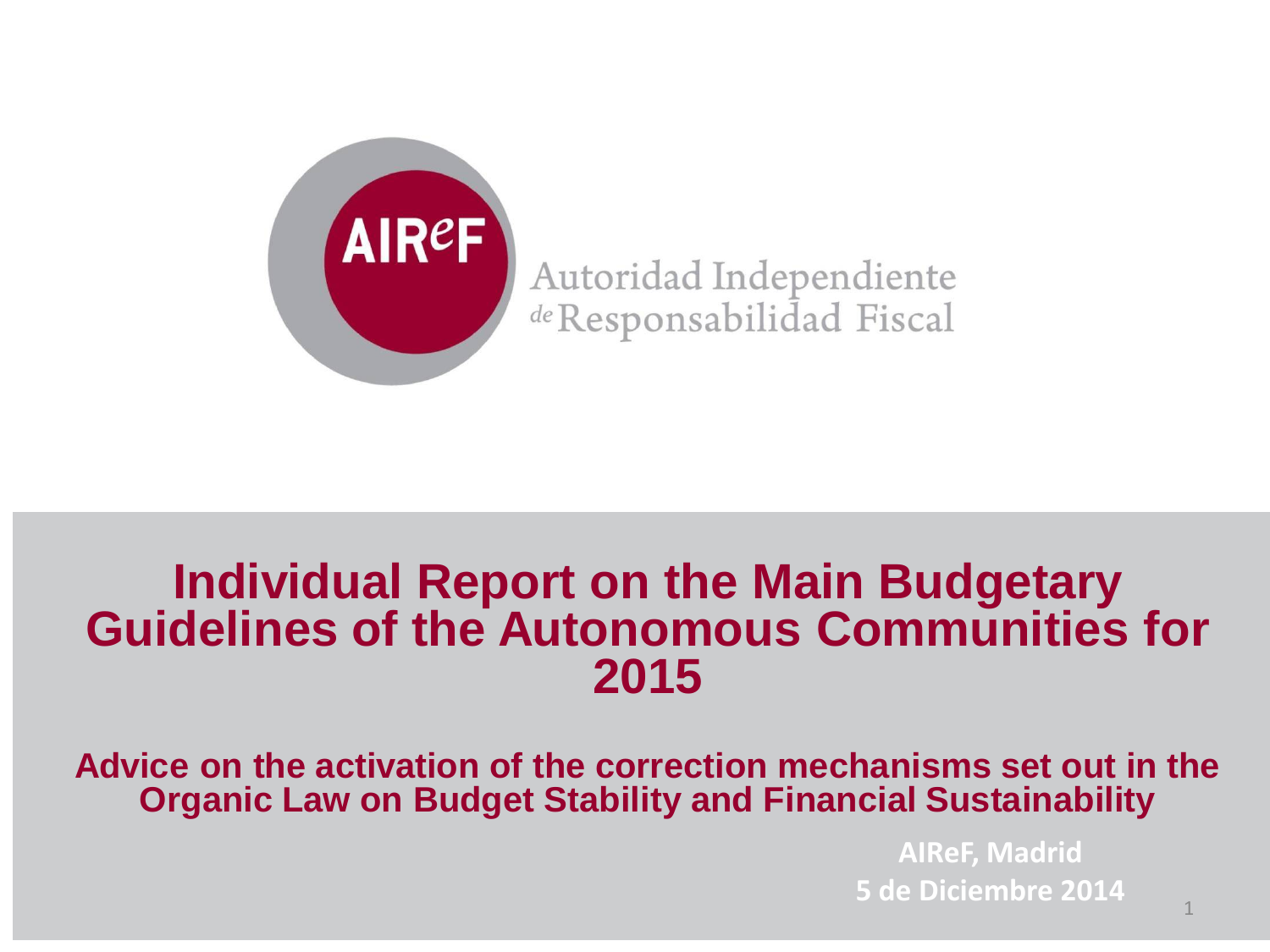

Autoridad Independiente de Responsabilidad Fiscal

### **Individual Report on the Main Budgetary Guidelines of the Autonomous Communities for 2015**

**Advice on the activation of the correction mechanisms set out in the Organic Law on Budget Stability and Financial Sustainability**

> **AIReF, Madrid 5 de Diciembre 2014**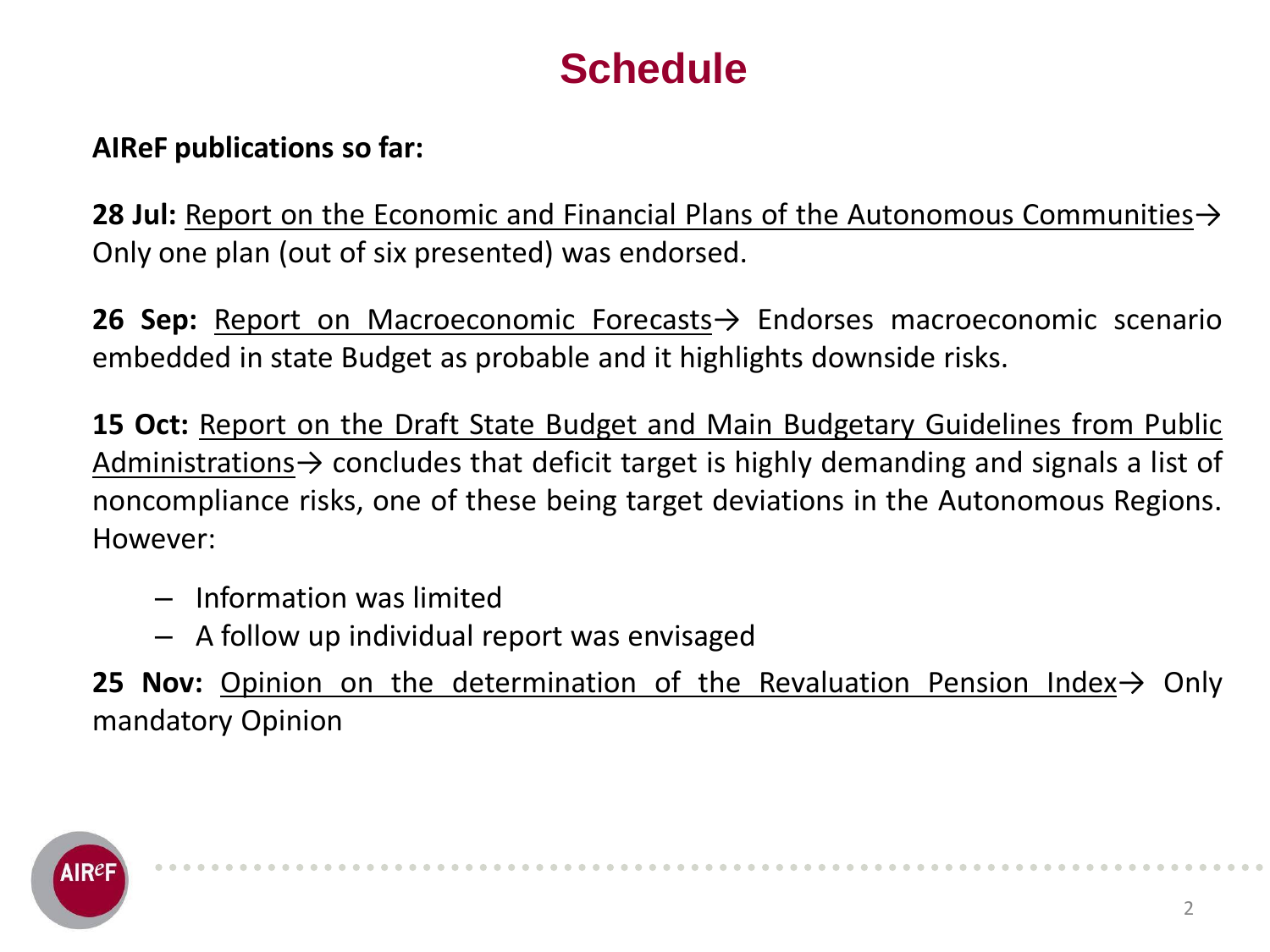### **Schedule**

### **AIReF publications so far:**

**28 Jul:** Report on the Economic and Financial Plans of the Autonomous Communities→ Only one plan (out of six presented) was endorsed.

**26 Sep:** Report on Macroeconomic Forecasts→ Endorses macroeconomic scenario embedded in state Budget as probable and it highlights downside risks.

**15 Oct:** Report on the Draft State Budget and Main Budgetary Guidelines from Public Administrations  $\rightarrow$  concludes that deficit target is highly demanding and signals a list of noncompliance risks, one of these being target deviations in the Autonomous Regions. However:

- Information was limited
- A follow up individual report was envisaged

**25 Nov:** Opinion on the determination of the Revaluation Pension Index→ Only mandatory Opinion

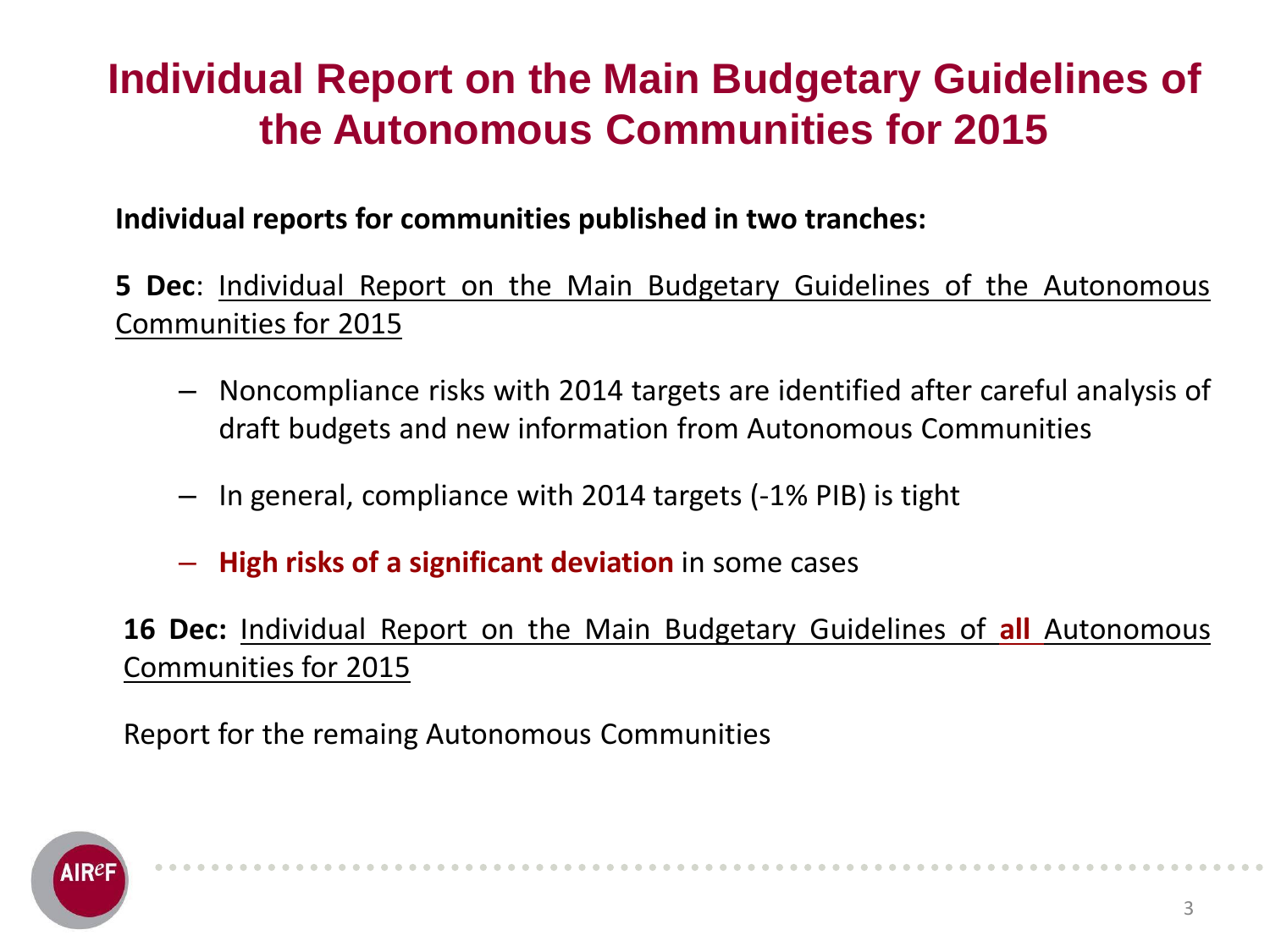### **Individual Report on the Main Budgetary Guidelines of the Autonomous Communities for 2015**

**Individual reports for communities published in two tranches:**

**5 Dec**: Individual Report on the Main Budgetary Guidelines of the Autonomous Communities for 2015

- Noncompliance risks with 2014 targets are identified after careful analysis of draft budgets and new information from Autonomous Communities
- In general, compliance with 2014 targets (-1% PIB) is tight
- **High risks of a significant deviation** in some cases

**16 Dec:** Individual Report on the Main Budgetary Guidelines of **all** Autonomous Communities for 2015

Report for the remaing Autonomous Communities

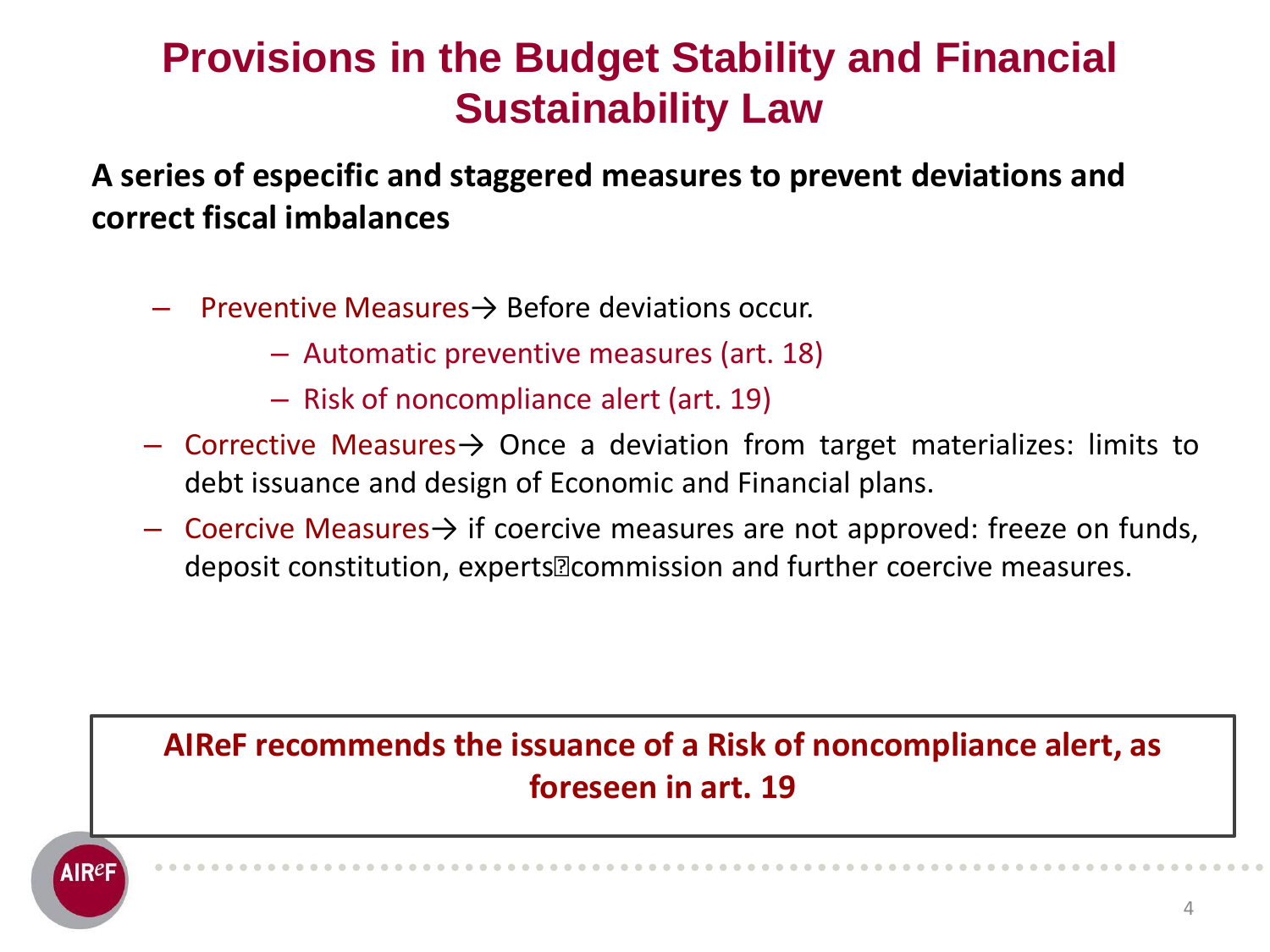### **Provisions in the Budget Stability and Financial Sustainability Law**

**A series of especific and staggered measures to prevent deviations and correct fiscal imbalances**

- Preventive Measures→ Before deviations occur.
	- Automatic preventive measures (art. 18)
	- Risk of noncompliance alert (art. 19)
- Corrective Measures→ Once a deviation from target materializes: limits to debt issuance and design of Economic and Financial plans.
- $\overline{\phantom{a}}$  Coercive Measures $\rightarrow$  if coercive measures are not approved: freeze on funds, deposit constitution, experts´ commission and further coercive measures.

### **AIReF recommends the issuance of a Risk of noncompliance alert, as foreseen in art. 19**

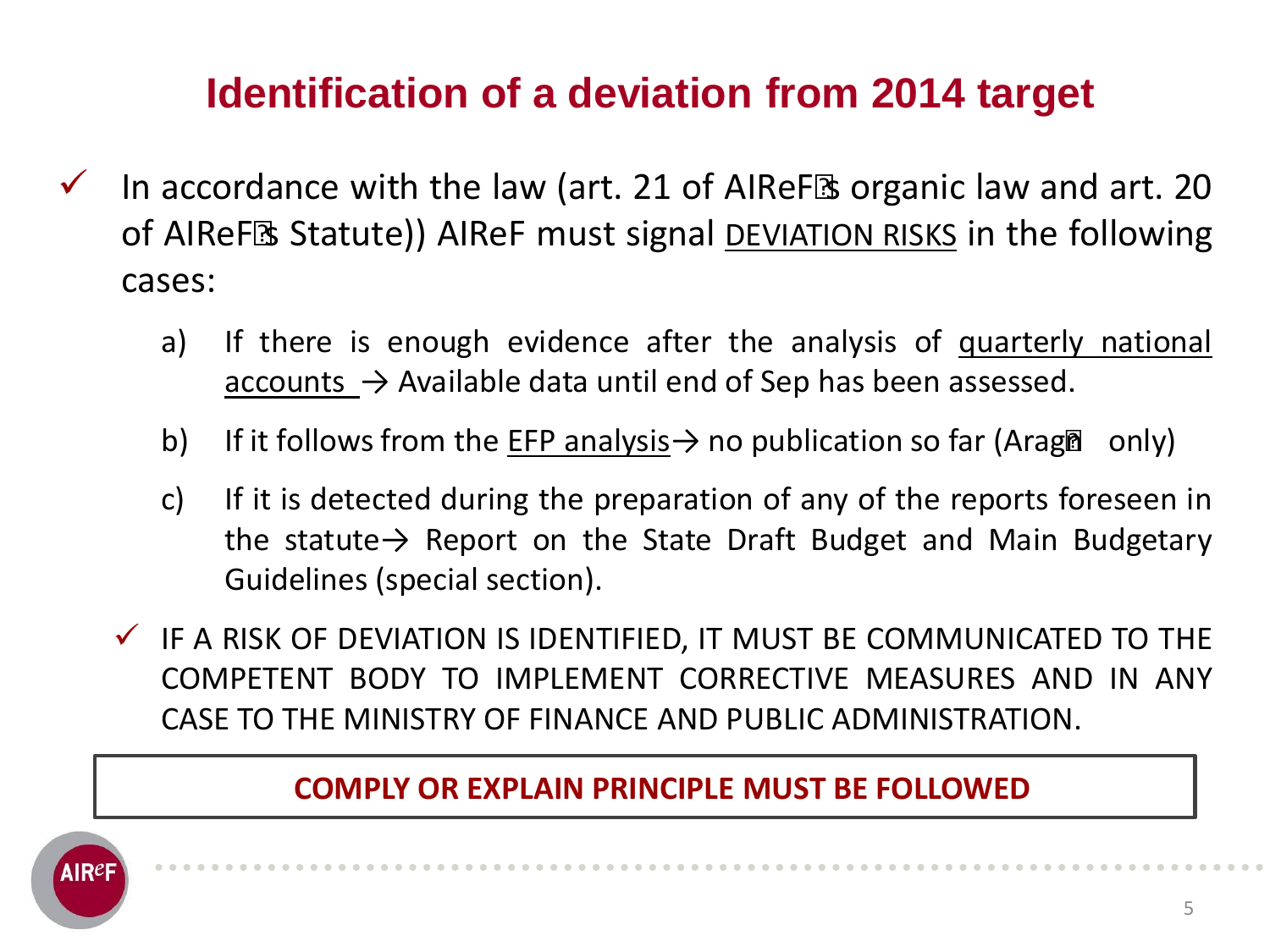# **Identification of a deviation from 2014 target**

- $\checkmark$  In accordance with the law (art. 21 of AIReF's organic law and art. 20 of AIReF´s Statute)) AIReF must signal DEVIATION RISKS in the following cases:
	- a) If there is enough evidence after the analysis of quarterly national accounts  $\rightarrow$  Available data until end of Sep has been assessed.
	- b) If it follows from the EFP analysis  $\rightarrow$  no publication so far (Aragon only)
	- c) If it is detected during the preparation of any of the reports foreseen in the statute $\rightarrow$  Report on the State Draft Budget and Main Budgetary Guidelines (special section).
	- $\checkmark$  IF A RISK OF DEVIATION IS IDENTIFIED, IT MUST BE COMMUNICATED TO THE COMPETENT BODY TO IMPLEMENT CORRECTIVE MEASURES AND IN ANY CASE TO THE MINISTRY OF FINANCE AND PUBLIC ADMINISTRATION.

#### **COMPLY OR EXPLAIN PRINCIPLE MUST BE FOLLOWED**

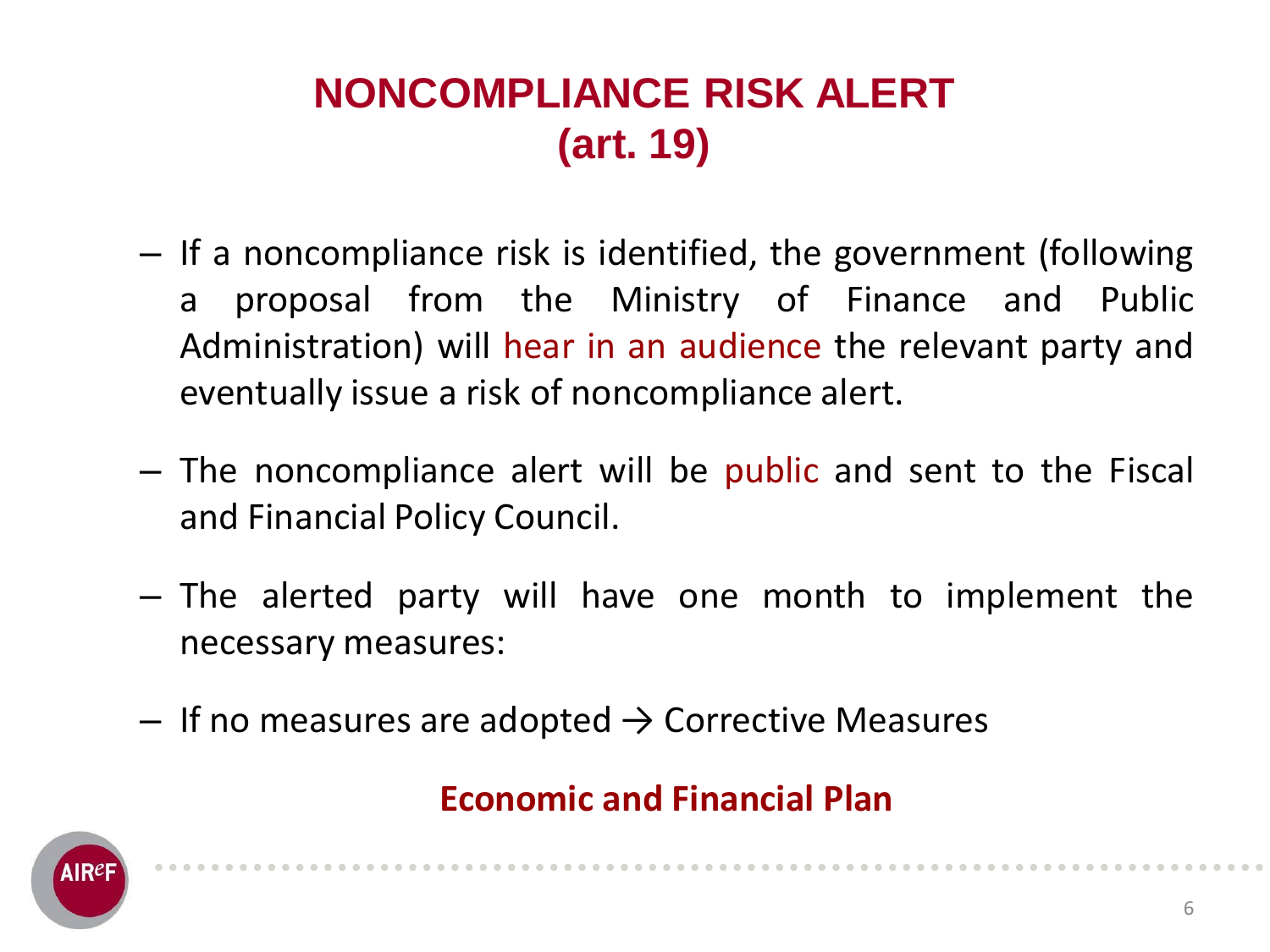# **NONCOMPLIANCE RISK ALERT (art. 19)**

- If a noncompliance risk is identified, the government (following a proposal from the Ministry of Finance and Public Administration) will hear in an audience the relevant party and eventually issue a risk of noncompliance alert.
- The noncompliance alert will be public and sent to the Fiscal and Financial Policy Council.
- The alerted party will have one month to implement the necessary measures:
- $-$  If no measures are adopted  $\rightarrow$  Corrective Measures

### **Economic and Financial Plan**

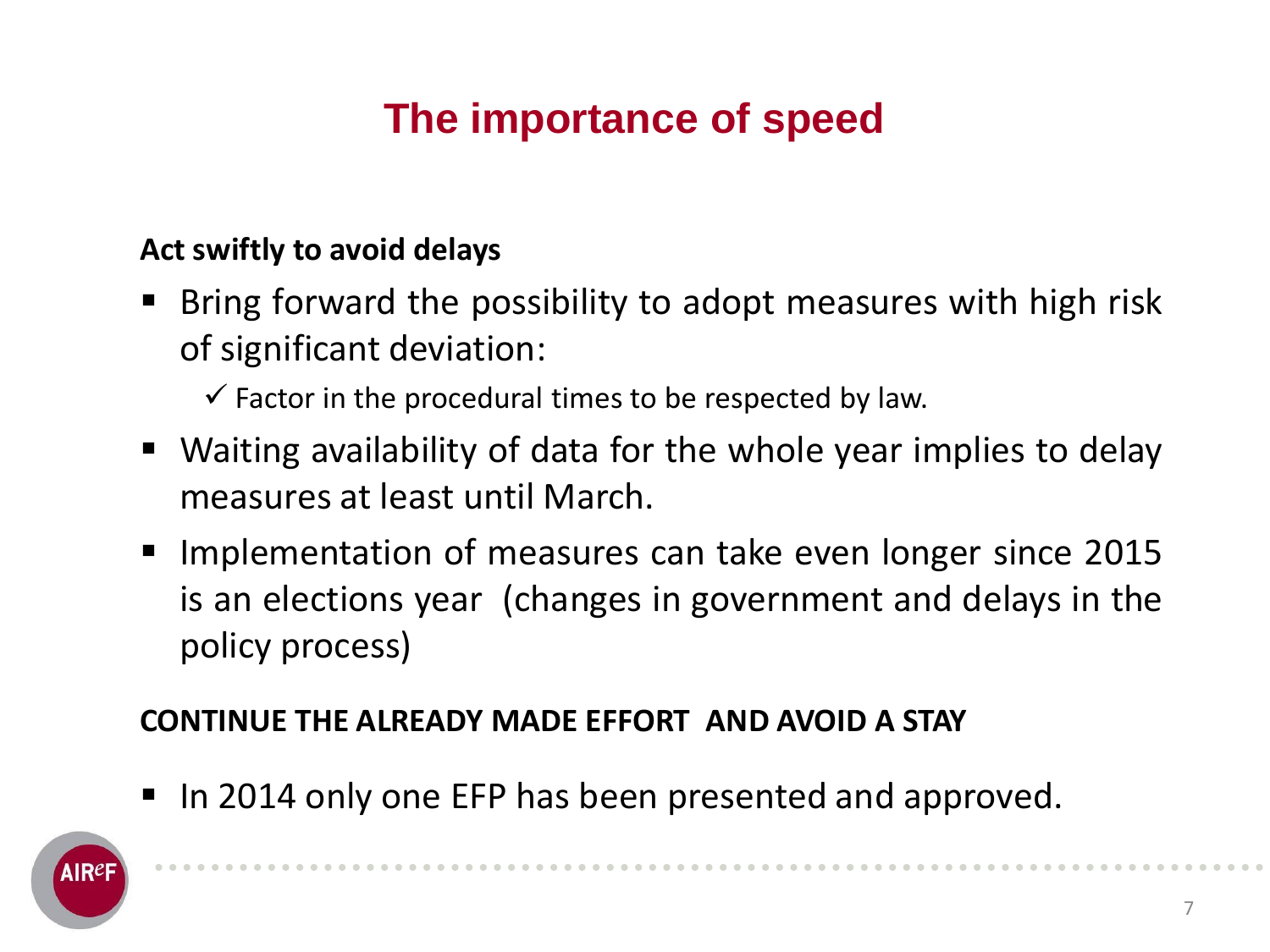# **The importance of speed**

### **Act swiftly to avoid delays**

- Bring forward the possibility to adopt measures with high risk of significant deviation:
	- $\checkmark$  Factor in the procedural times to be respected by law.
- Waiting availability of data for the whole year implies to delay measures at least until March.
- **Implementation of measures can take even longer since 2015** is an elections year (changes in government and delays in the policy process)

### **CONTINUE THE ALREADY MADE EFFORT AND AVOID A STAY**

In 2014 only one EFP has been presented and approved.

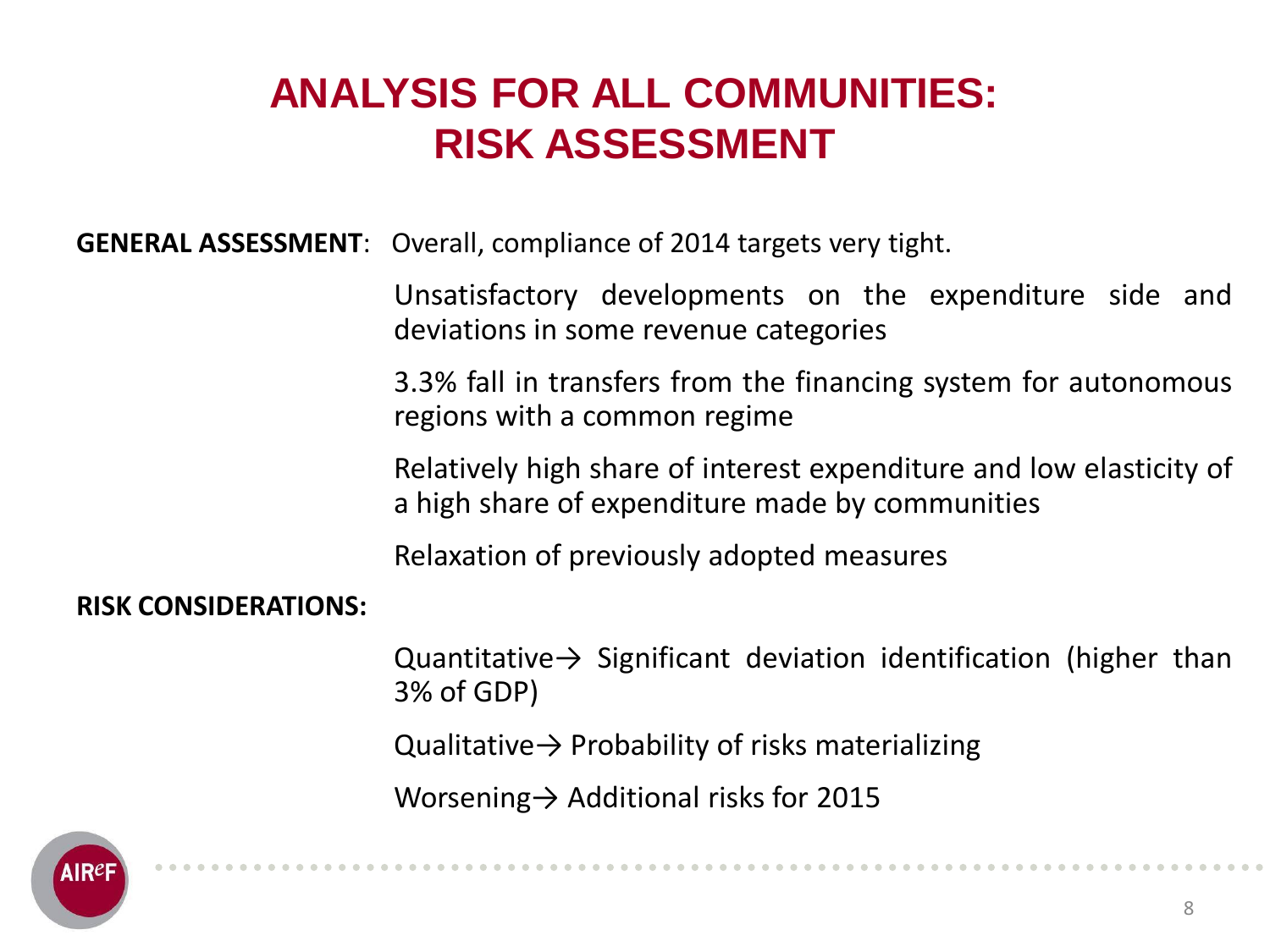### **ANALYSIS FOR ALL COMMUNITIES: RISK ASSESSMENT**

**GENERAL ASSESSMENT**: Overall, compliance of 2014 targets very tight.

Unsatisfactory developments on the expenditure side and deviations in some revenue categories

3.3% fall in transfers from the financing system for autonomous regions with a common regime

Relatively high share of interest expenditure and low elasticity of a high share of expenditure made by communities

Relaxation of previously adopted measures

#### **RISK CONSIDERATIONS:**

Quantitative  $\rightarrow$  Significant deviation identification (higher than 3% of GDP)

Qualitative  $\rightarrow$  Probability of risks materializing

Worsening→ Additional risks for 2015

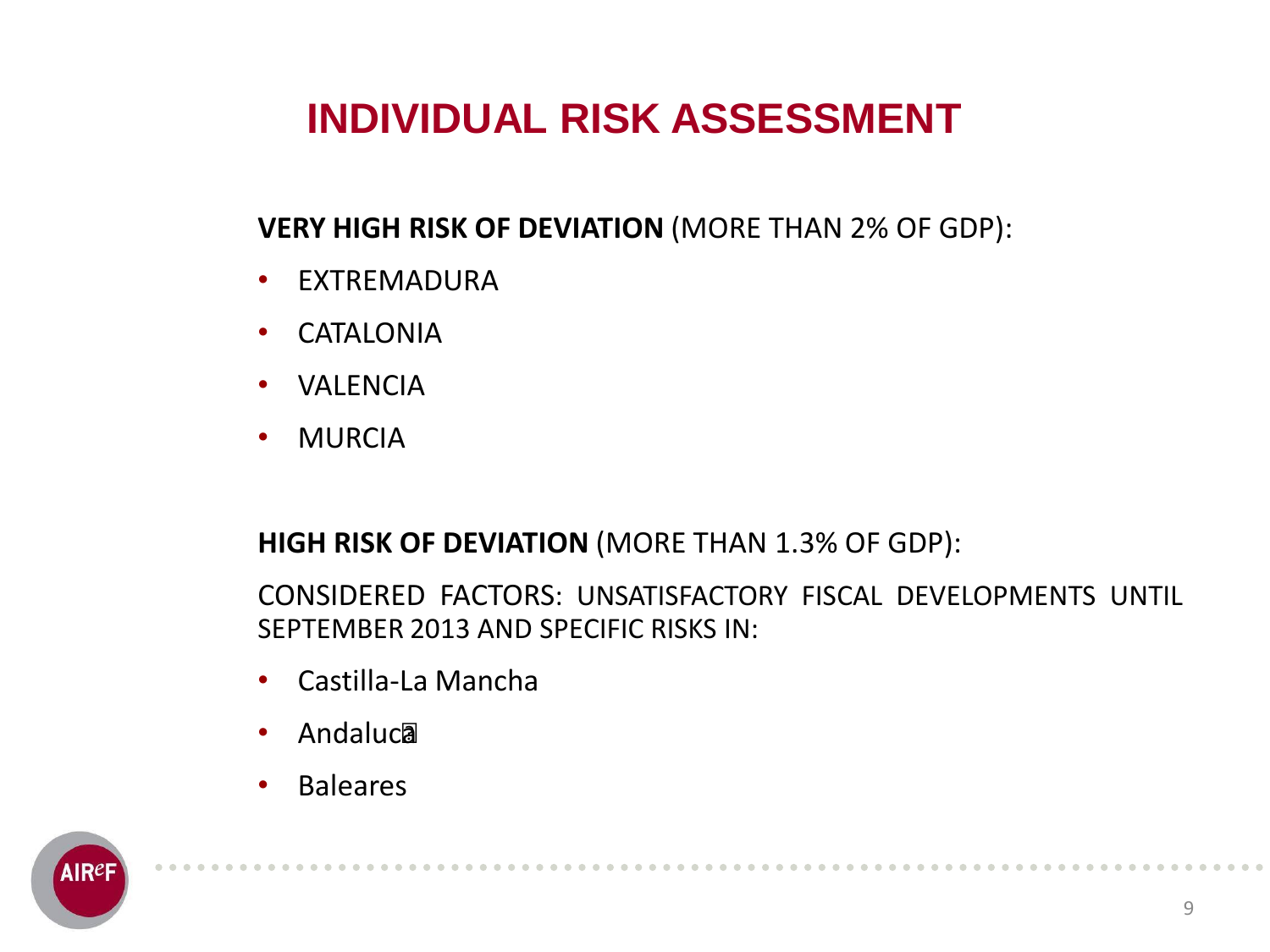# **INDIVIDUAL RISK ASSESSMENT**

### **VERY HIGH RISK OF DEVIATION** (MORE THAN 2% OF GDP):

- EXTREMADURA
- CATALONIA
- VALENCIA
- MURCIA

#### **HIGH RISK OF DEVIATION** (MORE THAN 1.3% OF GDP):

CONSIDERED FACTORS: UNSATISFACTORY FISCAL DEVELOPMENTS UNTIL SEPTEMBER 2013 AND SPECIFIC RISKS IN:

- Castilla-La Mancha
- Andalucía
- Baleares

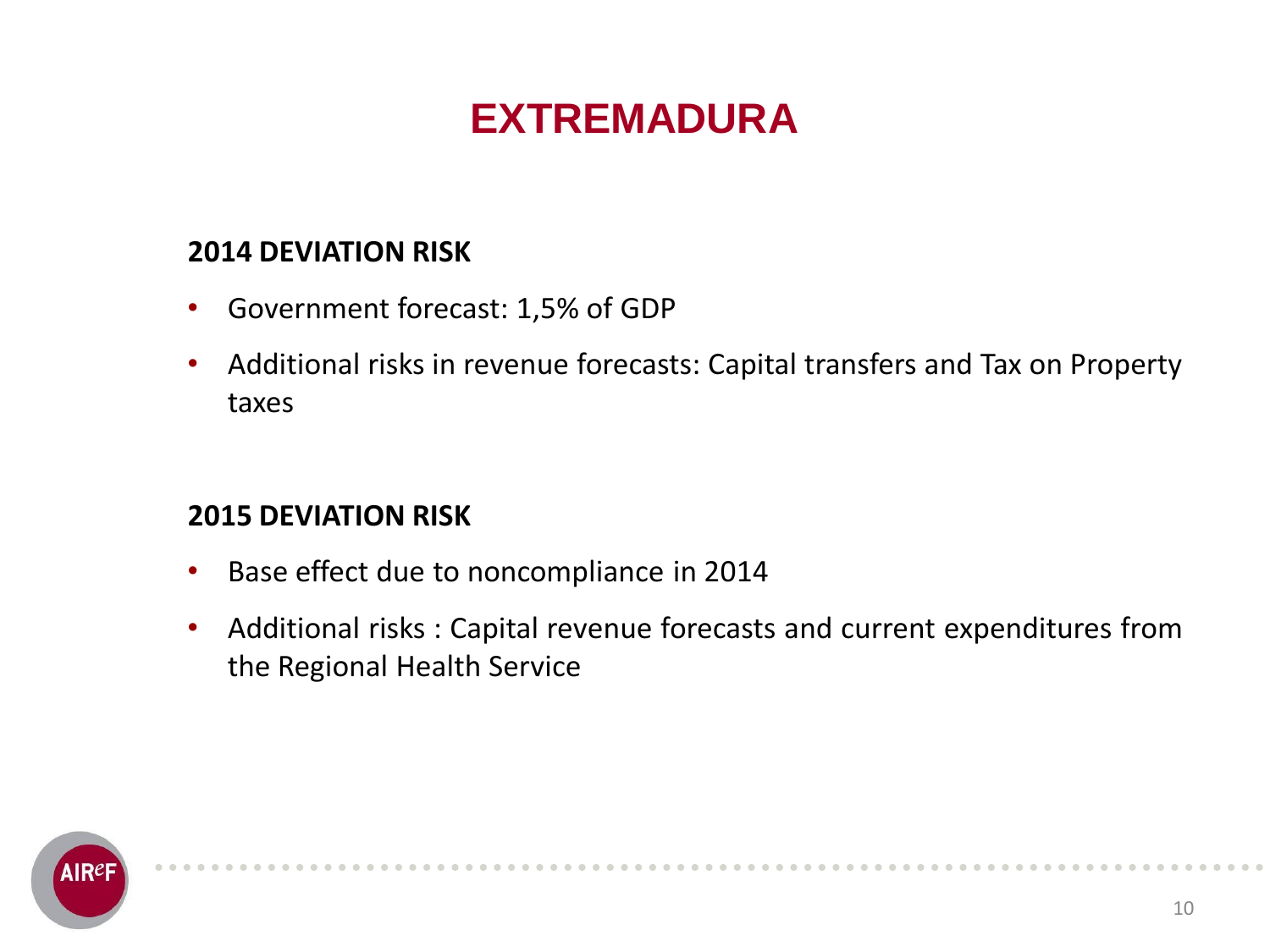## **EXTREMADURA**

### **2014 DEVIATION RISK**

- Government forecast: 1,5% of GDP
- Additional risks in revenue forecasts: Capital transfers and Tax on Property taxes

- Base effect due to noncompliance in 2014
- Additional risks : Capital revenue forecasts and current expenditures from the Regional Health Service

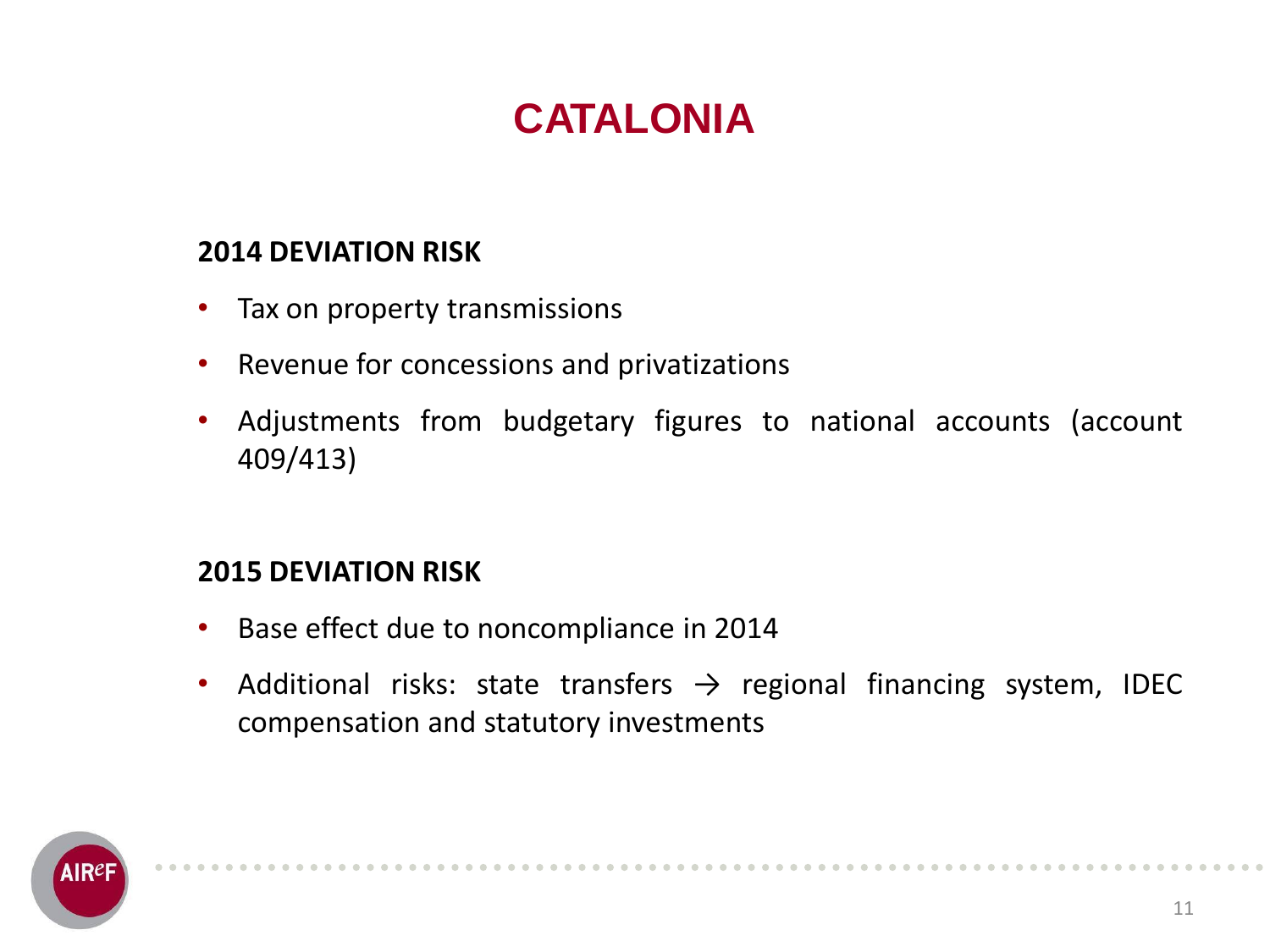# **CATALONIA**

### **2014 DEVIATION RISK**

- Tax on property transmissions
- Revenue for concessions and privatizations
- Adjustments from budgetary figures to national accounts (account 409/413)

- Base effect due to noncompliance in 2014
- Additional risks: state transfers  $\rightarrow$  regional financing system, IDEC compensation and statutory investments

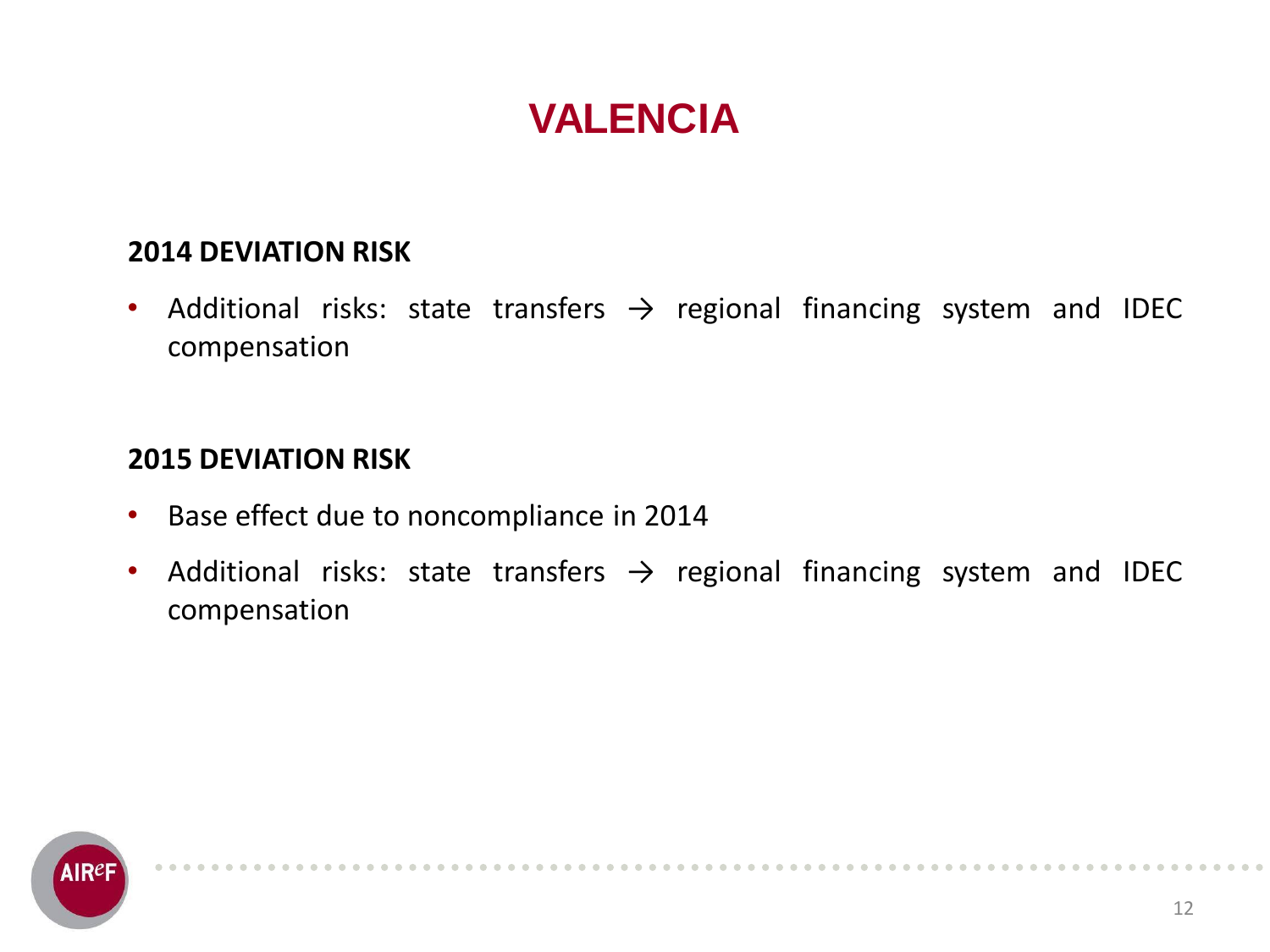## **VALENCIA**

#### **2014 DEVIATION RISK**

• Additional risks: state transfers  $\rightarrow$  regional financing system and IDEC compensation

- Base effect due to noncompliance in 2014
- Additional risks: state transfers  $\rightarrow$  regional financing system and IDEC compensation

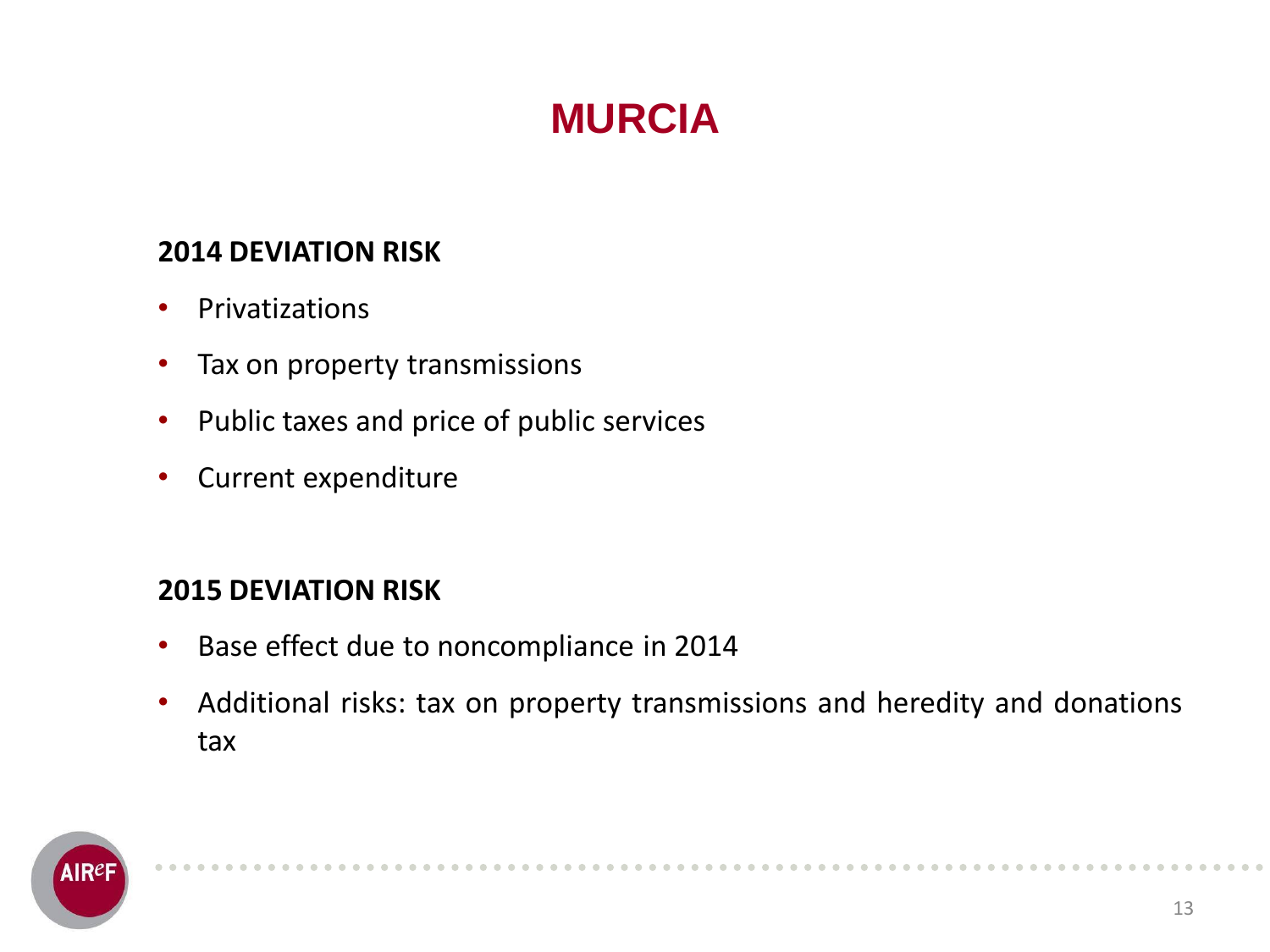# **MURCIA**

#### **2014 DEVIATION RISK**

- Privatizations
- Tax on property transmissions
- Public taxes and price of public services
- Current expenditure

- Base effect due to noncompliance in 2014
- Additional risks: tax on property transmissions and heredity and donations tax

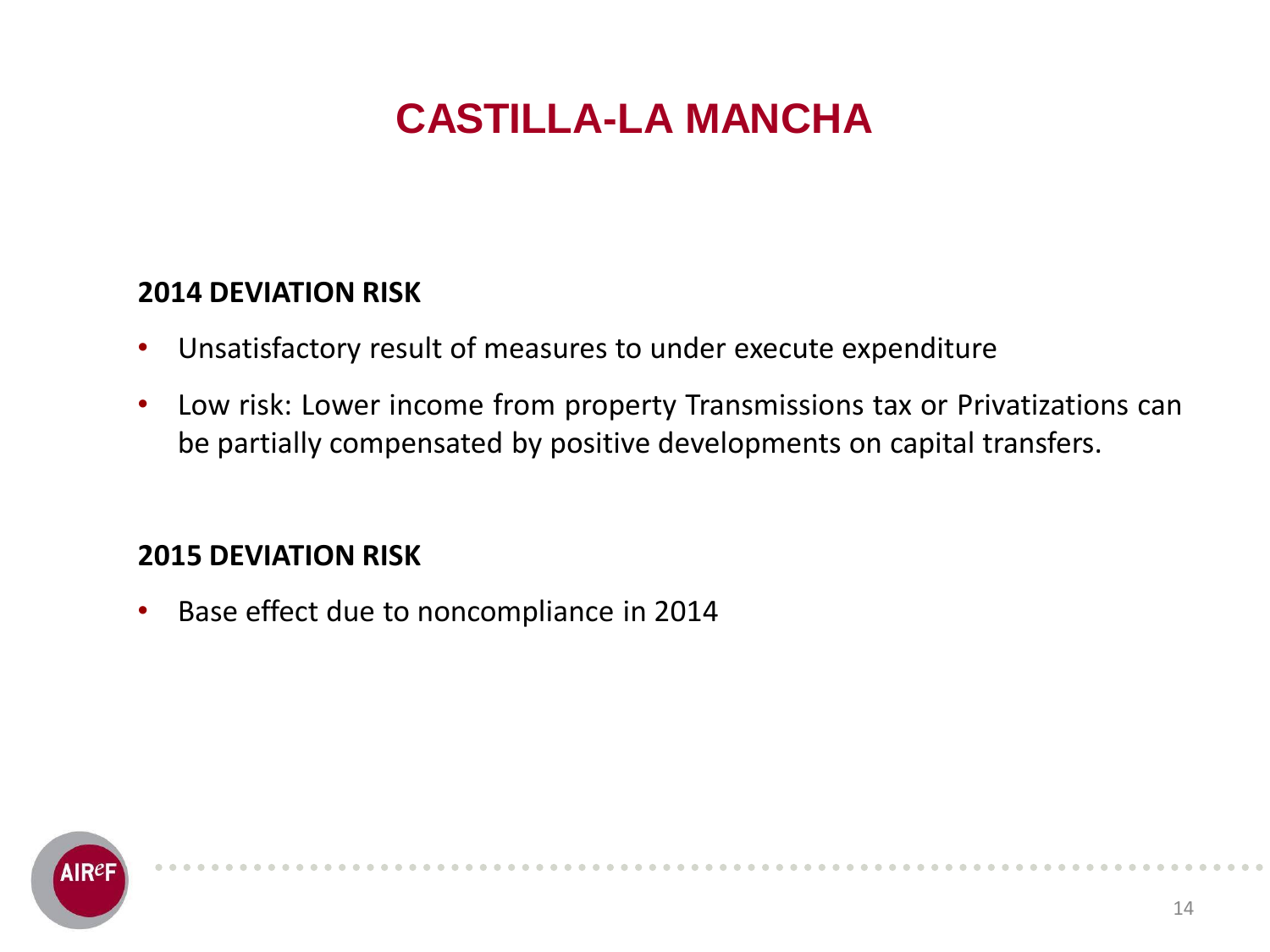# **CASTILLA-LA MANCHA**

#### **2014 DEVIATION RISK**

- Unsatisfactory result of measures to under execute expenditure
- Low risk: Lower income from property Transmissions tax or Privatizations can be partially compensated by positive developments on capital transfers.

#### **2015 DEVIATION RISK**

• Base effect due to noncompliance in 2014

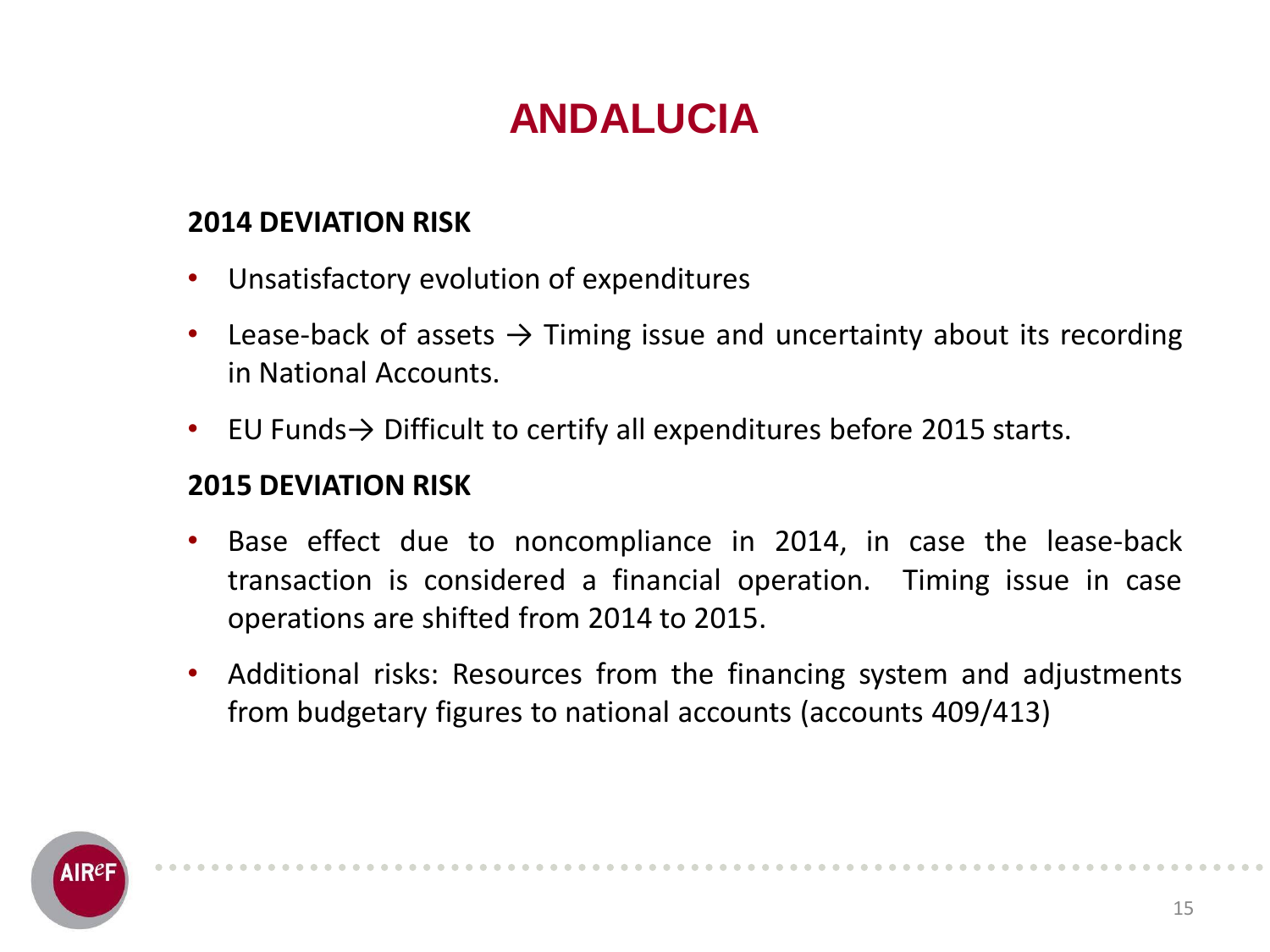# **ANDALUCIA**

#### **2014 DEVIATION RISK**

- Unsatisfactory evolution of expenditures
- Lease-back of assets  $\rightarrow$  Timing issue and uncertainty about its recording in National Accounts.
- EU Funds $\rightarrow$  Difficult to certify all expenditures before 2015 starts.

- Base effect due to noncompliance in 2014, in case the lease-back transaction is considered a financial operation. Timing issue in case operations are shifted from 2014 to 2015.
- Additional risks: Resources from the financing system and adjustments from budgetary figures to national accounts (accounts 409/413)